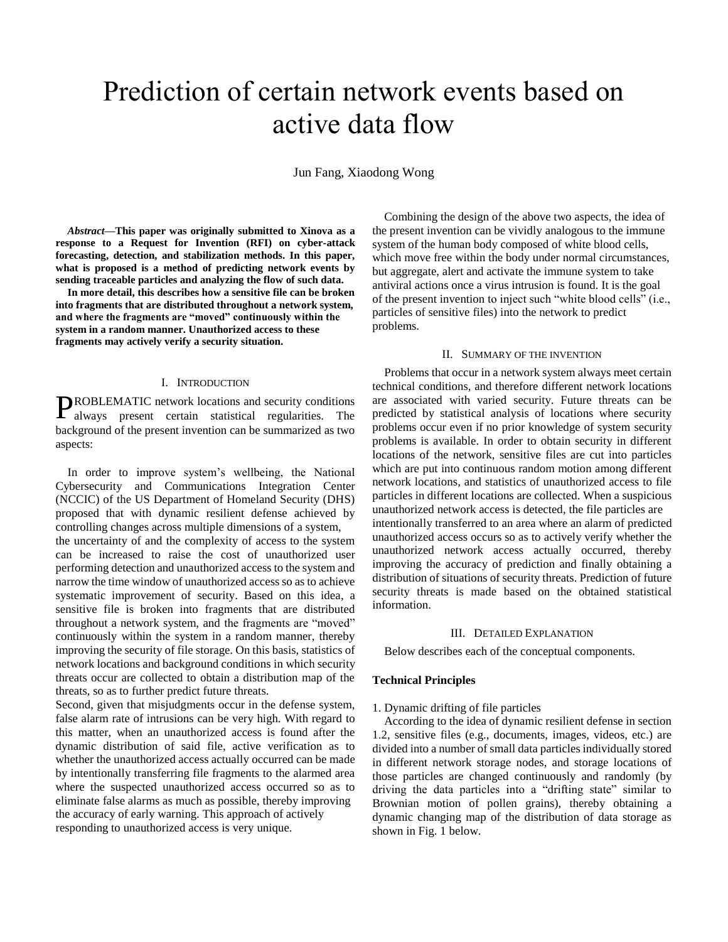# Prediction of certain network events based on active data flow

Jun Fang, Xiaodong Wong

*Abstract***—This paper was originally submitted to Xinova as a response to a Request for Invention (RFI) on cyber-attack forecasting, detection, and stabilization methods. In this paper, what is proposed is a method of predicting network events by sending traceable particles and analyzing the flow of such data.** 

**In more detail, this describes how a sensitive file can be broken into fragments that are distributed throughout a network system, and where the fragments are "moved" continuously within the system in a random manner. Unauthorized access to these fragments may actively verify a security situation.** 

### I. INTRODUCTION

ROBLEMATIC network locations and security conditions PROBLEMATIC network locations and security conditions always present certain statistical regularities. The background of the present invention can be summarized as two aspects:

In order to improve system's wellbeing, the National Cybersecurity and Communications Integration Center (NCCIC) of the US Department of Homeland Security (DHS) proposed that with dynamic resilient defense achieved by controlling changes across multiple dimensions of a system,

the uncertainty of and the complexity of access to the system can be increased to raise the cost of unauthorized user performing detection and unauthorized access to the system and narrow the time window of unauthorized access so as to achieve systematic improvement of security. Based on this idea, a sensitive file is broken into fragments that are distributed throughout a network system, and the fragments are "moved" continuously within the system in a random manner, thereby improving the security of file storage. On this basis, statistics of network locations and background conditions in which security threats occur are collected to obtain a distribution map of the threats, so as to further predict future threats.

Second, given that misjudgments occur in the defense system, false alarm rate of intrusions can be very high. With regard to this matter, when an unauthorized access is found after the dynamic distribution of said file, active verification as to whether the unauthorized access actually occurred can be made by intentionally transferring file fragments to the alarmed area where the suspected unauthorized access occurred so as to eliminate false alarms as much as possible, thereby improving the accuracy of early warning. This approach of actively responding to unauthorized access is very unique.

Combining the design of the above two aspects, the idea of the present invention can be vividly analogous to the immune system of the human body composed of white blood cells, which move free within the body under normal circumstances, but aggregate, alert and activate the immune system to take antiviral actions once a virus intrusion is found. It is the goal of the present invention to inject such "white blood cells" (i.e., particles of sensitive files) into the network to predict problems.

## II. SUMMARY OF THE INVENTION

Problems that occur in a network system always meet certain technical conditions, and therefore different network locations are associated with varied security. Future threats can be predicted by statistical analysis of locations where security problems occur even if no prior knowledge of system security problems is available. In order to obtain security in different locations of the network, sensitive files are cut into particles which are put into continuous random motion among different network locations, and statistics of unauthorized access to file particles in different locations are collected. When a suspicious unauthorized network access is detected, the file particles are intentionally transferred to an area where an alarm of predicted unauthorized access occurs so as to actively verify whether the unauthorized network access actually occurred, thereby improving the accuracy of prediction and finally obtaining a distribution of situations of security threats. Prediction of future security threats is made based on the obtained statistical information.

## III. DETAILED EXPLANATION

Below describes each of the conceptual components.

# **Technical Principles**

#### 1. Dynamic drifting of file particles

According to the idea of dynamic resilient defense in section 1.2, sensitive files (e.g., documents, images, videos, etc.) are divided into a number of small data particles individually stored in different network storage nodes, and storage locations of those particles are changed continuously and randomly (by driving the data particles into a "drifting state" similar to Brownian motion of pollen grains), thereby obtaining a dynamic changing map of the distribution of data storage as shown in Fig. 1 below.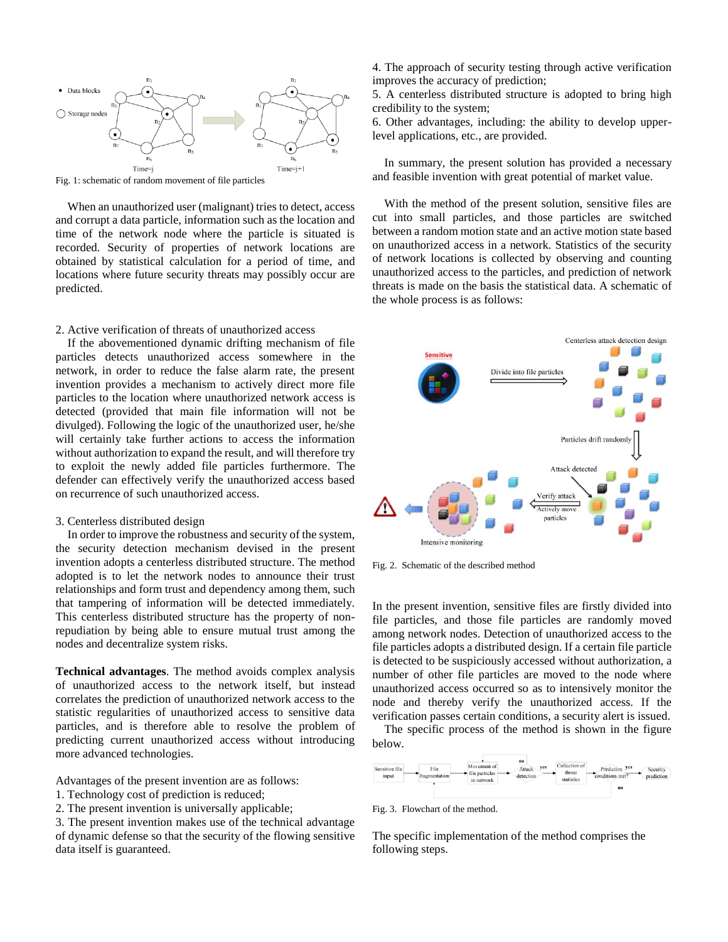

Fig. 1: schematic of random movement of file particles

When an unauthorized user (malignant) tries to detect, access and corrupt a data particle, information such as the location and time of the network node where the particle is situated is recorded. Security of properties of network locations are obtained by statistical calculation for a period of time, and locations where future security threats may possibly occur are predicted.

## 2. Active verification of threats of unauthorized access

If the abovementioned dynamic drifting mechanism of file particles detects unauthorized access somewhere in the network, in order to reduce the false alarm rate, the present invention provides a mechanism to actively direct more file particles to the location where unauthorized network access is detected (provided that main file information will not be divulged). Following the logic of the unauthorized user, he/she will certainly take further actions to access the information without authorization to expand the result, and will therefore try to exploit the newly added file particles furthermore. The defender can effectively verify the unauthorized access based on recurrence of such unauthorized access.

### 3. Centerless distributed design

In order to improve the robustness and security of the system, the security detection mechanism devised in the present invention adopts a centerless distributed structure. The method adopted is to let the network nodes to announce their trust relationships and form trust and dependency among them, such that tampering of information will be detected immediately. This centerless distributed structure has the property of nonrepudiation by being able to ensure mutual trust among the nodes and decentralize system risks.

**Technical advantages**. The method avoids complex analysis of unauthorized access to the network itself, but instead correlates the prediction of unauthorized network access to the statistic regularities of unauthorized access to sensitive data particles, and is therefore able to resolve the problem of predicting current unauthorized access without introducing more advanced technologies.

Advantages of the present invention are as follows:

- 1. Technology cost of prediction is reduced;
- 2. The present invention is universally applicable;

3. The present invention makes use of the technical advantage of dynamic defense so that the security of the flowing sensitive data itself is guaranteed.

4. The approach of security testing through active verification improves the accuracy of prediction;

5. A centerless distributed structure is adopted to bring high credibility to the system;

6. Other advantages, including: the ability to develop upperlevel applications, etc., are provided.

In summary, the present solution has provided a necessary and feasible invention with great potential of market value.

With the method of the present solution, sensitive files are cut into small particles, and those particles are switched between a random motion state and an active motion state based on unauthorized access in a network. Statistics of the security of network locations is collected by observing and counting unauthorized access to the particles, and prediction of network threats is made on the basis the statistical data. A schematic of the whole process is as follows:



Fig. 2. Schematic of the described method

In the present invention, sensitive files are firstly divided into file particles, and those file particles are randomly moved among network nodes. Detection of unauthorized access to the file particles adopts a distributed design. If a certain file particle is detected to be suspiciously accessed without authorization, a number of other file particles are moved to the node where unauthorized access occurred so as to intensively monitor the node and thereby verify the unauthorized access. If the verification passes certain conditions, a security alert is issued.

The specific process of the method is shown in the figure below.



Fig. 3. Flowchart of the method.

The specific implementation of the method comprises the following steps.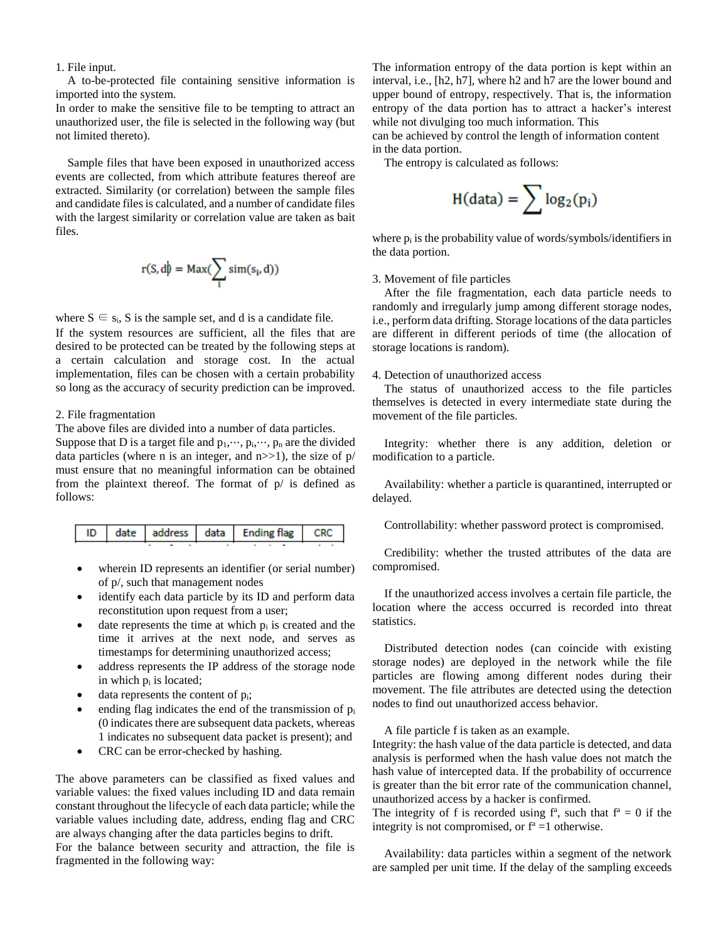1. File input.

A to-be-protected file containing sensitive information is imported into the system.

In order to make the sensitive file to be tempting to attract an unauthorized user, the file is selected in the following way (but not limited thereto).

Sample files that have been exposed in unauthorized access events are collected, from which attribute features thereof are extracted. Similarity (or correlation) between the sample files and candidate files is calculated, and a number of candidate files with the largest similarity or correlation value are taken as bait files.

$$
r(S,d) = Max(\sum_i sim(s_i,d))
$$

where  $S \in s_i$ , S is the sample set, and d is a candidate file. If the system resources are sufficient, all the files that are desired to be protected can be treated by the following steps at a certain calculation and storage cost. In the actual implementation, files can be chosen with a certain probability so long as the accuracy of security prediction can be improved.

# 2. File fragmentation

The above files are divided into a number of data particles. Suppose that D is a target file and  $p_1, \dots, p_i, \dots, p_n$  are the divided data particles (where n is an integer, and  $n \gg 1$ ), the size of  $p/$ must ensure that no meaningful information can be obtained from the plaintext thereof. The format of p/ is defined as follows:

|  |  |  |  | ID   date   address   data   Ending flag   CRC |  |  |  |  |  |
|--|--|--|--|------------------------------------------------|--|--|--|--|--|
|  |  |  |  |                                                |  |  |  |  |  |

- wherein ID represents an identifier (or serial number) of p/, such that management nodes
- identify each data particle by its ID and perform data reconstitution upon request from a user;
- date represents the time at which  $p_i$  is created and the time it arrives at the next node, and serves as timestamps for determining unauthorized access;
- address represents the IP address of the storage node in which  $p_i$  is located;
- data represents the content of  $p_i$ ;
- ending flag indicates the end of the transmission of  $p_i$ (0 indicates there are subsequent data packets, whereas 1 indicates no subsequent data packet is present); and
- CRC can be error-checked by hashing.

The above parameters can be classified as fixed values and variable values: the fixed values including ID and data remain constant throughout the lifecycle of each data particle; while the variable values including date, address, ending flag and CRC are always changing after the data particles begins to drift.

For the balance between security and attraction, the file is fragmented in the following way:

The information entropy of the data portion is kept within an interval, i.e., [h2, h7], where h2 and h7 are the lower bound and upper bound of entropy, respectively. That is, the information entropy of the data portion has to attract a hacker's interest while not divulging too much information. This

can be achieved by control the length of information content in the data portion.

The entropy is calculated as follows:

$$
H(data) = \sum log_2(p_i)
$$

where  $p_i$  is the probability value of words/symbols/identifiers in the data portion.

# 3. Movement of file particles

After the file fragmentation, each data particle needs to randomly and irregularly jump among different storage nodes, i.e., perform data drifting. Storage locations of the data particles are different in different periods of time (the allocation of storage locations is random).

# 4. Detection of unauthorized access

The status of unauthorized access to the file particles themselves is detected in every intermediate state during the movement of the file particles.

Integrity: whether there is any addition, deletion or modification to a particle.

Availability: whether a particle is quarantined, interrupted or delayed.

Controllability: whether password protect is compromised.

Credibility: whether the trusted attributes of the data are compromised.

If the unauthorized access involves a certain file particle, the location where the access occurred is recorded into threat statistics.

Distributed detection nodes (can coincide with existing storage nodes) are deployed in the network while the file particles are flowing among different nodes during their movement. The file attributes are detected using the detection nodes to find out unauthorized access behavior.

A file particle f is taken as an example.

Integrity: the hash value of the data particle is detected, and data analysis is performed when the hash value does not match the hash value of intercepted data. If the probability of occurrence is greater than the bit error rate of the communication channel, unauthorized access by a hacker is confirmed.

The integrity of f is recorded using  $f^a$ , such that  $f^a = 0$  if the integrity is not compromised, or  $f^a = 1$  otherwise.

Availability: data particles within a segment of the network are sampled per unit time. If the delay of the sampling exceeds